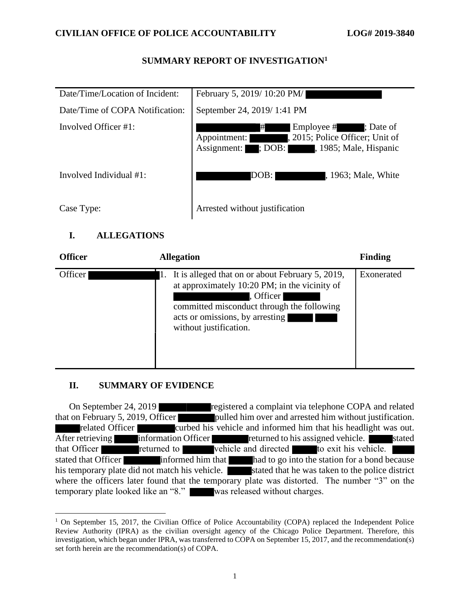### **SUMMARY REPORT OF INVESTIGATION<sup>1</sup>**

| Date/Time/Location of Incident: | February 5, 2019/10:20 PM/                                                                                                                              |
|---------------------------------|---------------------------------------------------------------------------------------------------------------------------------------------------------|
| Date/Time of COPA Notification: | September 24, 2019/1:41 PM                                                                                                                              |
| Involved Officer #1:            | Employee #; Date of<br>#<br>, 2015; Police Officer; Unit of<br>Appointment:<br>$\overline{\phantom{a}}$ ; DOB:<br>, 1985; Male, Hispanic<br>Assignment: |
| Involved Individual #1:         | DOB:<br>, 1963; Male, White                                                                                                                             |
| Case Type:                      | Arrested without justification                                                                                                                          |

## **I. ALLEGATIONS**

| <b>Officer</b> | <b>Allegation</b>                                                                                                                                                                                                               | <b>Finding</b> |
|----------------|---------------------------------------------------------------------------------------------------------------------------------------------------------------------------------------------------------------------------------|----------------|
| Officer        | It is alleged that on or about February 5, 2019,<br>Ī.<br>at approximately 10:20 PM; in the vicinity of<br>, Officer<br>committed misconduct through the following<br>acts or omissions, by arresting<br>without justification. | Exonerated     |

### **II. SUMMARY OF EVIDENCE**

On September 24, 2019 that on February 5, 2019, Officer pulled him over and arrested him without justification. related Officer curbed his vehicle and informed him that his headlight was out. After retrieving information Officer returned to his assigned vehicle. Stated that Officer **returned to** vehicle and directed to exit his vehicle. stated that Officer informed him that had to go into the station for a bond because his temporary plate did not match his vehicle. Stated that he was taken to the police district where the officers later found that the temporary plate was distorted. The number "3" on the temporary plate looked like an "8." was released without charges.

 $1$  On September 15, 2017, the Civilian Office of Police Accountability (COPA) replaced the Independent Police Review Authority (IPRA) as the civilian oversight agency of the Chicago Police Department. Therefore, this investigation, which began under IPRA, was transferred to COPA on September 15, 2017, and the recommendation(s) set forth herein are the recommendation(s) of COPA.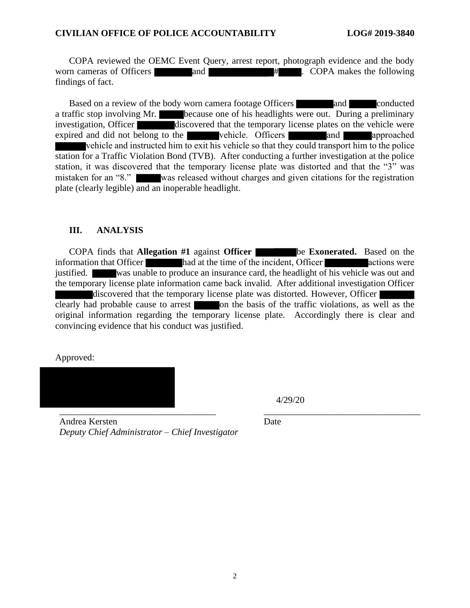COPA reviewed the OEMC Event Query, arrest report, photograph evidence and the body worn cameras of Officers and  $\#$  . COPA makes the following findings of fact.

Based on a review of the body worn camera footage Officers and conducted a traffic stop involving Mr. because one of his headlights were out. During a preliminary investigation, Officer discovered that the temporary license plates on the vehicle were expired and did not belong to the vehicle. Officers and approached vehicle and instructed him to exit his vehicle so that they could transport him to the police station for a Traffic Violation Bond (TVB). After conducting a further investigation at the police station, it was discovered that the temporary license plate was distorted and that the "3" was mistaken for an "8." was released without charges and given citations for the registration plate (clearly legible) and an inoperable headlight.

### **III. ANALYSIS**

COPA finds that **Allegation #1** against **Officer** be **Exonerated.** Based on the information that Officer had at the time of the incident, Officer actions were justified. was unable to produce an insurance card, the headlight of his vehicle was out and the temporary license plate information came back invalid. After additional investigation Officer discovered that the temporary license plate was distorted. However, Officer clearly had probable cause to arrest on the basis of the traffic violations, as well as the original information regarding the temporary license plate. Accordingly there is clear and convincing evidence that his conduct was justified.

Approved:



4/29/20

Andrea Kersten *Deputy Chief Administrator – Chief Investigator* Date